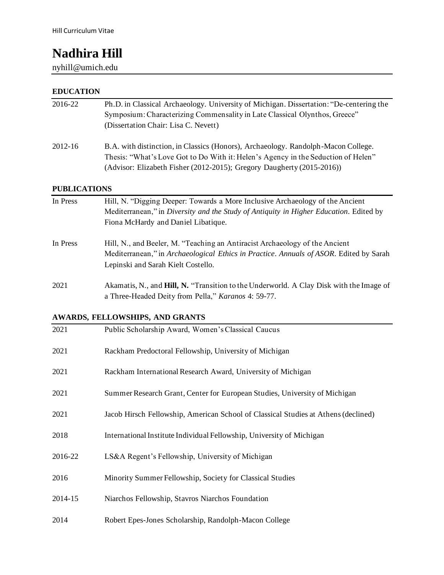# **Nadhira Hill**

nyhill@umich.edu

# **EDUCATION**

| 2016-22             | Ph.D. in Classical Archaeology. University of Michigan. Dissertation: "De-centering the<br>Symposium: Characterizing Commensality in Late Classical Olynthos, Greece"<br>(Dissertation Chair: Lisa C. Nevett)                                    |
|---------------------|--------------------------------------------------------------------------------------------------------------------------------------------------------------------------------------------------------------------------------------------------|
| 2012-16             | B.A. with distinction, in Classics (Honors), Archaeology. Randolph-Macon College.<br>Thesis: "What's Love Got to Do With it: Helen's Agency in the Seduction of Helen"<br>(Advisor: Elizabeth Fisher (2012-2015); Gregory Daugherty (2015-2016)) |
| <b>PUBLICATIONS</b> |                                                                                                                                                                                                                                                  |
| In Press            | Hill, N. "Digging Deeper: Towards a More Inclusive Archaeology of the Ancient<br>Mediterranean," in Diversity and the Study of Antiquity in Higher Education. Edited by<br>Fiona McHardy and Daniel Libatique.                                   |
| In Press            | Hill, N., and Beeler, M. "Teaching an Antiracist Archaeology of the Ancient<br>Mediterranean," in Archaeological Ethics in Practice. Annuals of ASOR. Edited by Sarah<br>Lepinski and Sarah Kielt Costello.                                      |
| 2021                | Akamatis, N., and Hill, N. "Transition to the Underworld. A Clay Disk with the Image of<br>a Three-Headed Deity from Pella," Karanos 4: 59-77.                                                                                                   |

**AWARDS, FELLOWSHIPS, AND GRANTS**

| 2021    | Public Scholarship Award, Women's Classical Caucus                                 |
|---------|------------------------------------------------------------------------------------|
| 2021    | Rackham Predoctoral Fellowship, University of Michigan                             |
| 2021    | Rackham International Research Award, University of Michigan                       |
| 2021    | Summer Research Grant, Center for European Studies, University of Michigan         |
| 2021    | Jacob Hirsch Fellowship, American School of Classical Studies at Athens (declined) |
| 2018    | International Institute Individual Fellowship, University of Michigan              |
| 2016-22 | LS&A Regent's Fellowship, University of Michigan                                   |
| 2016    | Minority Summer Fellowship, Society for Classical Studies                          |
| 2014-15 | Niarchos Fellowship, Stavros Niarchos Foundation                                   |
| 2014    | Robert Epes-Jones Scholarship, Randolph-Macon College                              |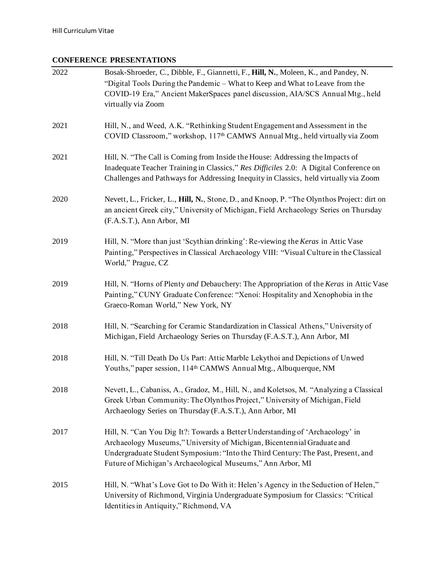# **CONFERENCE PRESENTATIONS**

| 2022 | Bosak-Shroeder, C., Dibble, F., Giannetti, F., Hill, N., Moleen, K., and Pandey, N.                                                                                                                                                                                                                         |
|------|-------------------------------------------------------------------------------------------------------------------------------------------------------------------------------------------------------------------------------------------------------------------------------------------------------------|
|      | "Digital Tools During the Pandemic - What to Keep and What to Leave from the<br>COVID-19 Era," Ancient MakerSpaces panel discussion, AIA/SCS Annual Mtg., held<br>virtually via Zoom                                                                                                                        |
| 2021 | Hill, N., and Weed, A.K. "Rethinking Student Engagement and Assessment in the<br>COVID Classroom," workshop, 117 <sup>th</sup> CAMWS Annual Mtg., held virtually via Zoom                                                                                                                                   |
| 2021 | Hill, N. "The Call is Coming from Inside the House: Addressing the Impacts of<br>Inadequate Teacher Training in Classics," Res Difficiles 2.0: A Digital Conference on<br>Challenges and Pathways for Addressing Inequity in Classics, held virtually via Zoom                                              |
| 2020 | Nevett, L., Fricker, L., Hill, N., Stone, D., and Knoop, P. "The Olynthos Project: dirt on<br>an ancient Greek city," University of Michigan, Field Archaeology Series on Thursday<br>(F.A.S.T.), Ann Arbor, MI                                                                                             |
| 2019 | Hill, N. "More than just 'Scythian drinking': Re-viewing the Keras in Attic Vase<br>Painting," Perspectives in Classical Archaeology VIII: "Visual Culture in the Classical<br>World," Prague, CZ                                                                                                           |
| 2019 | Hill, N. "Horns of Plenty and Debauchery: The Appropriation of the Keras in Attic Vase<br>Painting," CUNY Graduate Conference: "Xenoi: Hospitality and Xenophobia in the<br>Graeco-Roman World," New York, NY                                                                                               |
| 2018 | Hill, N. "Searching for Ceramic Standardization in Classical Athens," University of<br>Michigan, Field Archaeology Series on Thursday (F.A.S.T.), Ann Arbor, MI                                                                                                                                             |
| 2018 | Hill, N. "Till Death Do Us Part: Attic Marble Lekythoi and Depictions of Unwed<br>Youths," paper session, 114 <sup>th</sup> CAMWS Annual Mtg., Albuquerque, NM                                                                                                                                              |
| 2018 | Nevett, L., Cabaniss, A., Gradoz, M., Hill, N., and Koletsos, M. "Analyzing a Classical<br>Greek Urban Community: The Olynthos Project," University of Michigan, Field<br>Archaeology Series on Thursday (F.A.S.T.), Ann Arbor, MI                                                                          |
| 2017 | Hill, N. "Can You Dig It?: Towards a Better Understanding of 'Archaeology' in<br>Archaeology Museums," University of Michigan, Bicentennial Graduate and<br>Undergraduate Student Symposium: "Into the Third Century: The Past, Present, and<br>Future of Michigan's Archaeological Museums," Ann Arbor, MI |
| 2015 | Hill, N. "What's Love Got to Do With it: Helen's Agency in the Seduction of Helen,"<br>University of Richmond, Virginia Undergraduate Symposium for Classics: "Critical<br>Identities in Antiquity," Richmond, VA                                                                                           |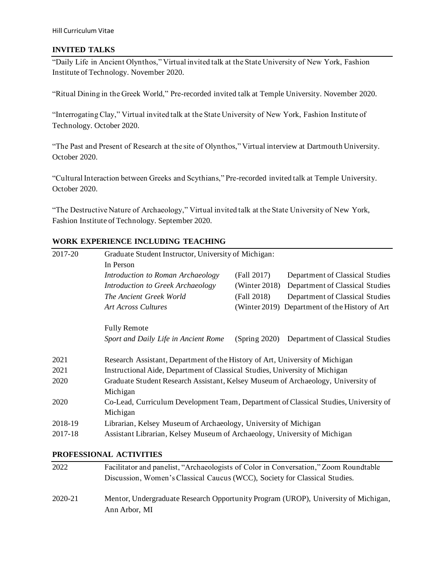#### **INVITED TALKS**

"Daily Life in Ancient Olynthos," Virtual invited talk at the State University of New York, Fashion Institute of Technology. November 2020.

"Ritual Dining in the Greek World," Pre-recorded invited talk at Temple University. November 2020.

"Interrogating Clay," Virtual invited talk at the State University of New York, Fashion Institute of Technology. October 2020.

"The Past and Present of Research at the site of Olynthos," Virtual interview at Dartmouth University. October 2020.

"Cultural Interaction between Greeks and Scythians," Pre-recorded invited talk at Temple University. October 2020.

"The Destructive Nature of Archaeology," Virtual invited talk at the State University of New York, Fashion Institute of Technology. September 2020.

# **WORK EXPERIENCE INCLUDING TEACHING**

| 2017-20 | Graduate Student Instructor, University of Michigan:                                 |               |                                                |
|---------|--------------------------------------------------------------------------------------|---------------|------------------------------------------------|
|         | In Person                                                                            |               |                                                |
|         | Introduction to Roman Archaeology                                                    | (Fall 2017)   | Department of Classical Studies                |
|         | Introduction to Greek Archaeology                                                    | (Winter 2018) | Department of Classical Studies                |
|         | The Ancient Greek World                                                              | (Fall 2018)   | Department of Classical Studies                |
|         | <b>Art Across Cultures</b>                                                           |               | (Winter 2019) Department of the History of Art |
|         | <b>Fully Remote</b>                                                                  |               |                                                |
|         | Sport and Daily Life in Ancient Rome                                                 | (Spring 2020) | Department of Classical Studies                |
| 2021    | Research Assistant, Department of the History of Art, University of Michigan         |               |                                                |
| 2021    | Instructional Aide, Department of Classical Studies, University of Michigan          |               |                                                |
| 2020    | Graduate Student Research Assistant, Kelsey Museum of Archaeology, University of     |               |                                                |
|         | Michigan                                                                             |               |                                                |
| 2020    | Co-Lead, Curriculum Development Team, Department of Classical Studies, University of |               |                                                |
|         | Michigan                                                                             |               |                                                |
| 2018-19 | Librarian, Kelsey Museum of Archaeology, University of Michigan                      |               |                                                |
| 2017-18 | Assistant Librarian, Kelsey Museum of Archaeology, University of Michigan            |               |                                                |
|         |                                                                                      |               |                                                |

## **PROFESSIONAL ACTIVITIES**

| 2022    | Facilitator and panelist, "Archaeologists of Color in Conversation," Zoom Roundtable |
|---------|--------------------------------------------------------------------------------------|
|         | Discussion, Women's Classical Caucus (WCC), Society for Classical Studies.           |
| 2020-21 | Mentor, Undergraduate Research Opportunity Program (UROP), University of Michigan,   |
|         | Ann Arbor, MI                                                                        |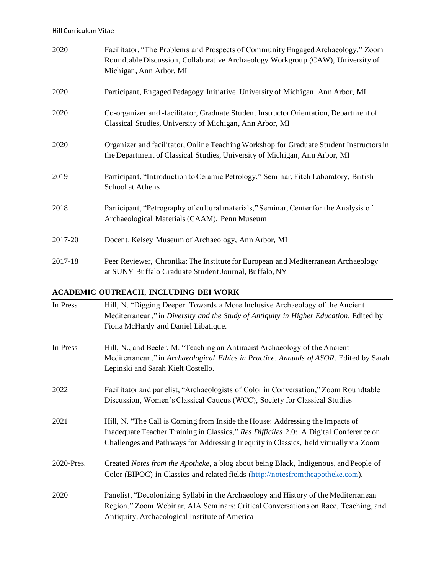| 2020    | Facilitator, "The Problems and Prospects of Community Engaged Archaeology," Zoom<br>Roundtable Discussion, Collaborative Archaeology Workgroup (CAW), University of<br>Michigan, Ann Arbor, MI |
|---------|------------------------------------------------------------------------------------------------------------------------------------------------------------------------------------------------|
| 2020    | Participant, Engaged Pedagogy Initiative, University of Michigan, Ann Arbor, MI                                                                                                                |
| 2020    | Co-organizer and -facilitator, Graduate Student Instructor Orientation, Department of<br>Classical Studies, University of Michigan, Ann Arbor, MI                                              |
| 2020    | Organizer and facilitator, Online Teaching Workshop for Graduate Student Instructors in<br>the Department of Classical Studies, University of Michigan, Ann Arbor, MI                          |
| 2019    | Participant, "Introduction to Ceramic Petrology," Seminar, Fitch Laboratory, British<br>School at Athens                                                                                       |
| 2018    | Participant, "Petrography of cultural materials," Seminar, Center for the Analysis of<br>Archaeological Materials (CAAM), Penn Museum                                                          |
| 2017-20 | Docent, Kelsey Museum of Archaeology, Ann Arbor, MI                                                                                                                                            |
| 2017-18 | Peer Reviewer, Chronika: The Institute for European and Mediterranean Archaeology<br>at SUNY Buffalo Graduate Student Journal, Buffalo, NY                                                     |

# **ACADEMIC OUTREACH, INCLUDING DEI WORK**

| In Press   | Hill, N. "Digging Deeper: Towards a More Inclusive Archaeology of the Ancient<br>Mediterranean," in Diversity and the Study of Antiquity in Higher Education. Edited by<br>Fiona McHardy and Daniel Libatique.                                                 |
|------------|----------------------------------------------------------------------------------------------------------------------------------------------------------------------------------------------------------------------------------------------------------------|
| In Press   | Hill, N., and Beeler, M. "Teaching an Antiracist Archaeology of the Ancient<br>Mediterranean," in Archaeological Ethics in Practice. Annuals of ASOR. Edited by Sarah<br>Lepinski and Sarah Kielt Costello.                                                    |
| 2022       | Facilitator and panelist, "Archaeologists of Color in Conversation," Zoom Roundtable<br>Discussion, Women's Classical Caucus (WCC), Society for Classical Studies                                                                                              |
| 2021       | Hill, N. "The Call is Coming from Inside the House: Addressing the Impacts of<br>Inadequate Teacher Training in Classics," Res Difficiles 2.0: A Digital Conference on<br>Challenges and Pathways for Addressing Inequity in Classics, held virtually via Zoom |
| 2020-Pres. | Created Notes from the Apotheke, a blog about being Black, Indigenous, and People of<br>Color (BIPOC) in Classics and related fields (http://notesfromtheapotheke.com).                                                                                        |
| 2020       | Panelist, "Decolonizing Syllabi in the Archaeology and History of the Mediterranean<br>Region," Zoom Webinar, AIA Seminars: Critical Conversations on Race, Teaching, and<br>Antiquity, Archaeological Institute of America                                    |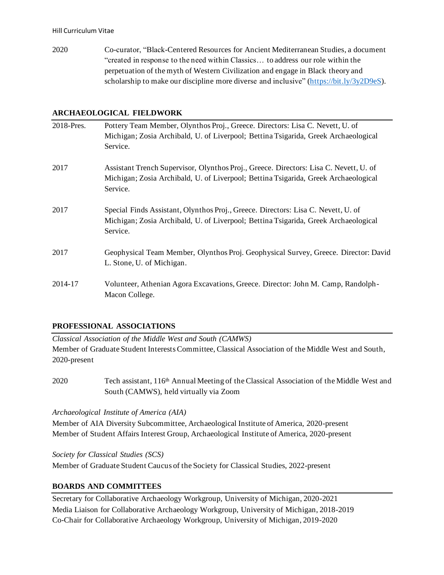2020 Co-curator, "Black-Centered Resources for Ancient Mediterranean Studies, a document "created in response to the need within Classics… to address our role within the perpetuation of the myth of Western Civilization and engage in Black theory and scholarship to make our discipline more diverse and inclusive" [\(https://bit.ly/3y2D9eS\)](https://bit.ly/3y2D9eS).

## **ARCHAEOLOGICAL FIELDWORK**

| 2018-Pres. | Pottery Team Member, Olynthos Proj., Greece. Directors: Lisa C. Nevett, U. of<br>Michigan; Zosia Archibald, U. of Liverpool; Bettina Tsigarida, Greek Archaeological<br>Service.         |
|------------|------------------------------------------------------------------------------------------------------------------------------------------------------------------------------------------|
| 2017       | Assistant Trench Supervisor, Olynthos Proj., Greece. Directors: Lisa C. Nevett, U. of<br>Michigan; Zosia Archibald, U. of Liverpool; Bettina Tsigarida, Greek Archaeological<br>Service. |
| 2017       | Special Finds Assistant, Olynthos Proj., Greece. Directors: Lisa C. Nevett, U. of<br>Michigan; Zosia Archibald, U. of Liverpool; Bettina Tsigarida, Greek Archaeological<br>Service.     |
| 2017       | Geophysical Team Member, Olynthos Proj. Geophysical Survey, Greece. Director: David<br>L. Stone, U. of Michigan.                                                                         |
| 2014-17    | Volunteer, Athenian Agora Excavations, Greece. Director: John M. Camp, Randolph-<br>Macon College.                                                                                       |

## **PROFESSIONAL ASSOCIATIONS**

*Classical Association of the Middle West and South (CAMWS)* Member of Graduate Student Interests Committee, Classical Association of the Middle West and South, 2020-present

2020 Tech assistant, 116th Annual Meeting of the Classical Association of the Middle West and South (CAMWS), held virtually via Zoom

*Archaeological Institute of America (AIA)*

Member of AIA Diversity Subcommittee, Archaeological Institute of America, 2020-present Member of Student Affairs Interest Group, Archaeological Institute of America, 2020-present

*Society for Classical Studies (SCS)*

Member of Graduate Student Caucus of the Society for Classical Studies, 2022-present

## **BOARDS AND COMMITTEES**

Secretary for Collaborative Archaeology Workgroup, University of Michigan, 2020-2021 Media Liaison for Collaborative Archaeology Workgroup, University of Michigan, 2018-2019 Co-Chair for Collaborative Archaeology Workgroup, University of Michigan, 2019-2020